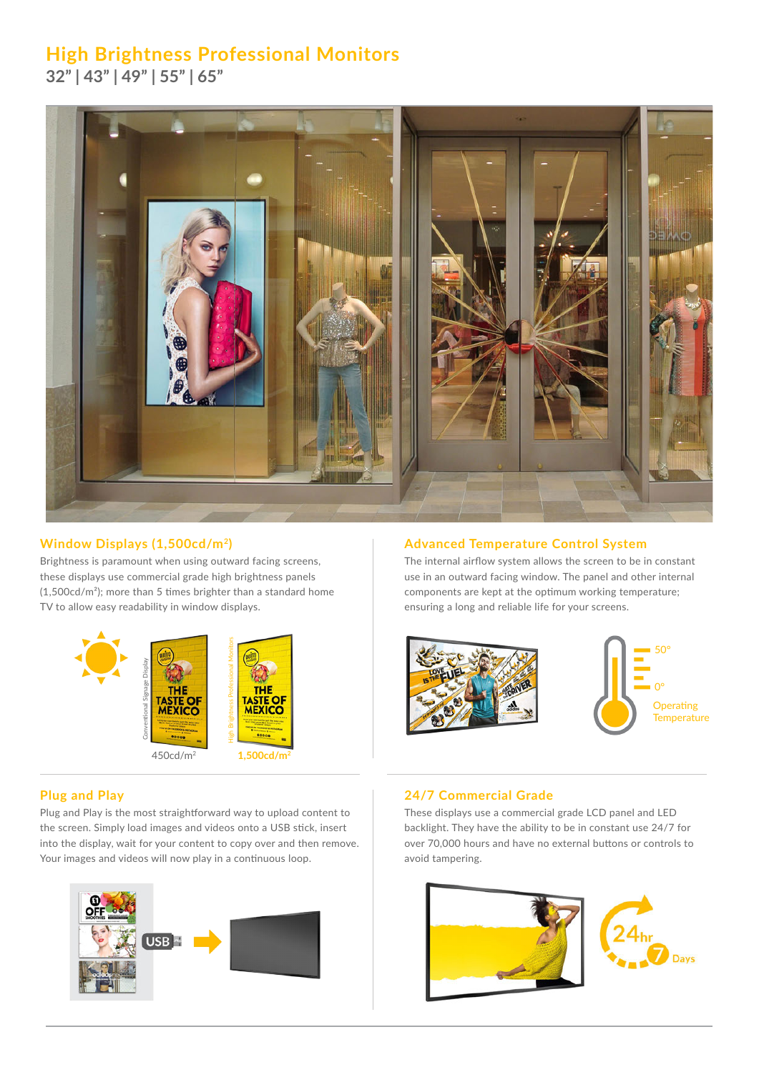# **High Brightness Professional Monitors**

**32" | 43" | 49" | 55" | 65"**



Brightness is paramount when using outward facing screens, these displays use commercial grade high brightness panels (1,500cd/m²); more than 5 times brighter than a standard home TV to allow easy readability in window displays.



## **Window Displays (1,500cd/m2) Advanced Temperature Control System**

The internal airflow system allows the screen to be in constant use in an outward facing window. The panel and other internal components are kept at the optimum working temperature; ensuring a long and reliable life for your screens.





Plug and Play is the most straightforward way to upload content to the screen. Simply load images and videos onto a USB stick, insert into the display, wait for your content to copy over and then remove. Your images and videos will now play in a continuous loop.



## **Plug and Play 24/7 Commercial Grade**

These displays use a commercial grade LCD panel and LED backlight. They have the ability to be in constant use 24/7 for over 70,000 hours and have no external buttons or controls to avoid tampering.

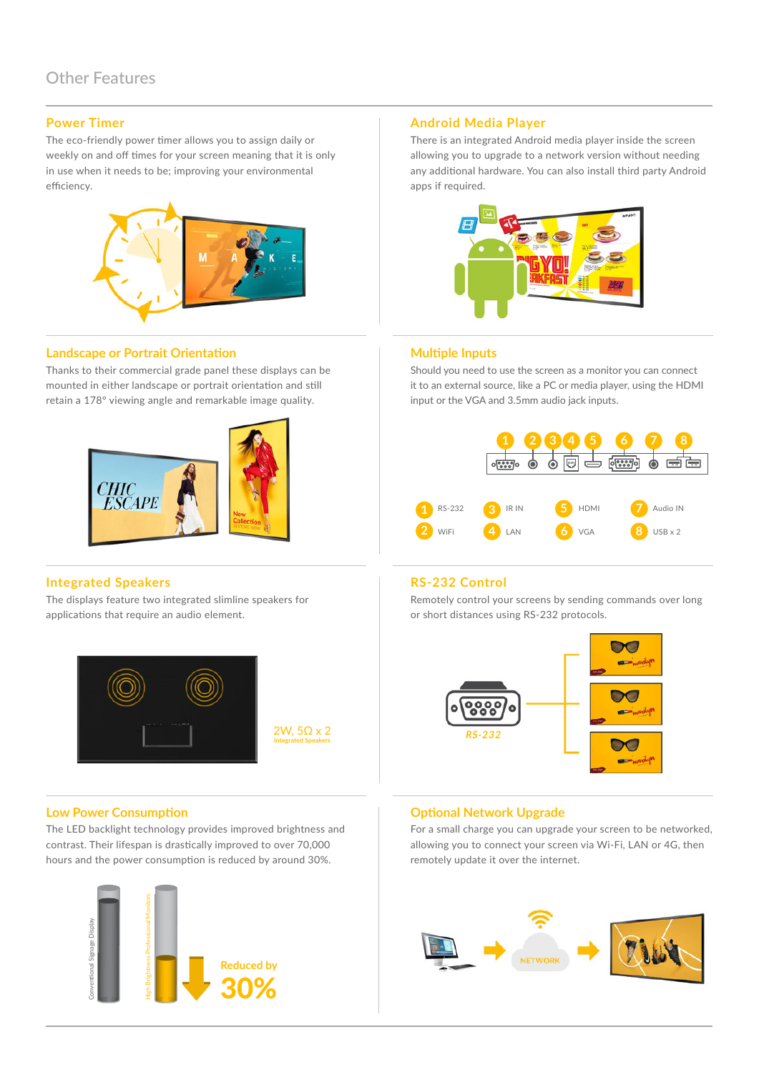## **Power Timer**

The eco-friendly power timer allows you to assign daily or weekly on and off times for your screen meaning that it is only in use when it needs to be; improving your environmental efficiency.



### **Landscape or Portrait Orientation Multiple Inputs Multiple Inputs**

Thanks to their commercial grade panel these displays can be mounted in either landscape or portrait orientation and still retain a 178° viewing angle and remarkable image quality.



## **Integrated Speakers RS-232 Control**

The displays feature two integrated slimline speakers for applications that require an audio element.



2W, 5Ω x 2 **Integrated Speakers**

The LED backlight technology provides improved brightness and contrast. Their lifespan is drastically improved to over 70,000 hours and the power consumption is reduced by around 30%.



## **Android Media Player**

There is an integrated Android media player inside the screen allowing you to upgrade to a network version without needing any additional hardware. You can also install third party Android apps if required.



Should you need to use the screen as a monitor you can connect it to an external source, like a PC or media player, using the HDMI input or the VGA and 3.5mm audio jack inputs.



Remotely control your screens by sending commands over long or short distances using RS-232 protocols.



## **Low Power Consumption Consumption Consumption Consumption Consumption Consumption Consumption Consumption Consumption Consumption Consumption Consumption Consumption Consumption Consumption C**

For a small charge you can upgrade your screen to be networked, allowing you to connect your screen via Wi-Fi, LAN or 4G, then remotely update it over the internet.

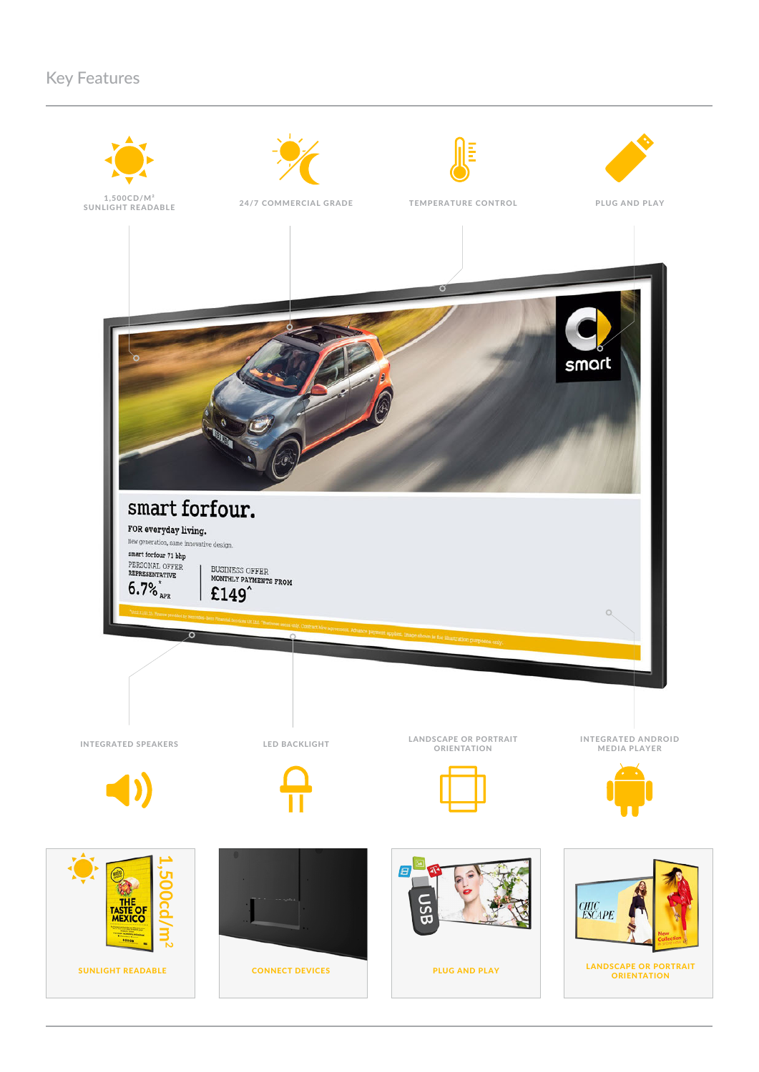## Key Features